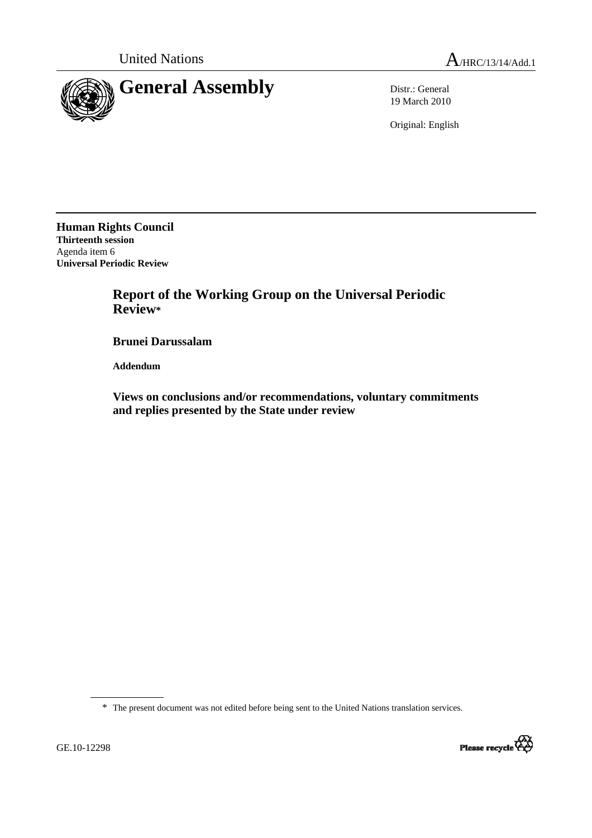

19 March 2010

Original: English

**Human Rights Council Thirteenth session**  Agenda item 6 **Universal Periodic Review** 

> **Report of the Working Group on the Universal Periodic Review\***

 **Brunei Darussalam** 

 **Addendum** 

 **Views on conclusions and/or recommendations, voluntary commitments and replies presented by the State under review** 

\* The present document was not edited before being sent to the United Nations translation services.

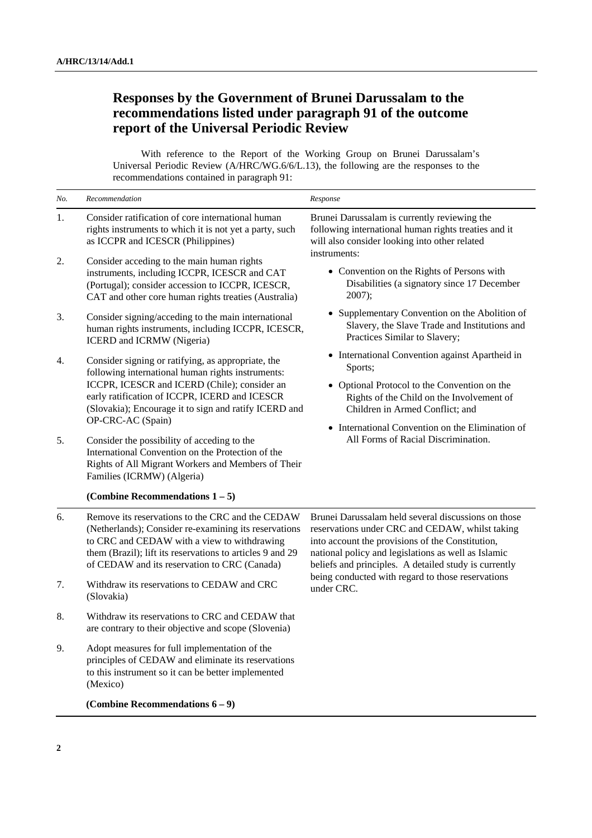## **Responses by the Government of Brunei Darussalam to the recommendations listed under paragraph 91 of the outcome report of the Universal Periodic Review**

With reference to the Report of the Working Group on Brunei Darussalam's Universal Periodic Review (A/HRC/WG.6/6/L.13), the following are the responses to the recommendations contained in paragraph 91:

| No. | Recommendation                                                                                                                                                                                                                                                        | Response                                                                                                                                                                                                                                                                                                                                      |
|-----|-----------------------------------------------------------------------------------------------------------------------------------------------------------------------------------------------------------------------------------------------------------------------|-----------------------------------------------------------------------------------------------------------------------------------------------------------------------------------------------------------------------------------------------------------------------------------------------------------------------------------------------|
| 1.  | Consider ratification of core international human<br>rights instruments to which it is not yet a party, such<br>as ICCPR and ICESCR (Philippines)                                                                                                                     | Brunei Darussalam is currently reviewing the<br>following international human rights treaties and it<br>will also consider looking into other related<br>instruments:                                                                                                                                                                         |
| 2.  | Consider acceding to the main human rights<br>instruments, including ICCPR, ICESCR and CAT<br>(Portugal); consider accession to ICCPR, ICESCR,<br>CAT and other core human rights treaties (Australia)                                                                | • Convention on the Rights of Persons with<br>Disabilities (a signatory since 17 December<br>$2007$ ;                                                                                                                                                                                                                                         |
| 3.  | Consider signing/acceding to the main international<br>human rights instruments, including ICCPR, ICESCR,<br>ICERD and ICRMW (Nigeria)                                                                                                                                | • Supplementary Convention on the Abolition of<br>Slavery, the Slave Trade and Institutions and<br>Practices Similar to Slavery;                                                                                                                                                                                                              |
| 4.  | Consider signing or ratifying, as appropriate, the<br>following international human rights instruments:<br>ICCPR, ICESCR and ICERD (Chile); consider an<br>early ratification of ICCPR, ICERD and ICESCR<br>(Slovakia); Encourage it to sign and ratify ICERD and     | • International Convention against Apartheid in<br>Sports;                                                                                                                                                                                                                                                                                    |
|     |                                                                                                                                                                                                                                                                       | • Optional Protocol to the Convention on the<br>Rights of the Child on the Involvement of<br>Children in Armed Conflict; and<br>• International Convention on the Elimination of<br>All Forms of Racial Discrimination.                                                                                                                       |
| 5.  | OP-CRC-AC (Spain)<br>Consider the possibility of acceding to the<br>International Convention on the Protection of the<br>Rights of All Migrant Workers and Members of Their<br>Families (ICRMW) (Algeria)                                                             |                                                                                                                                                                                                                                                                                                                                               |
|     | (Combine Recommendations $1-5$ )                                                                                                                                                                                                                                      |                                                                                                                                                                                                                                                                                                                                               |
| 6.  | Remove its reservations to the CRC and the CEDAW<br>(Netherlands); Consider re-examining its reservations<br>to CRC and CEDAW with a view to withdrawing<br>them (Brazil); lift its reservations to articles 9 and 29<br>of CEDAW and its reservation to CRC (Canada) | Brunei Darussalam held several discussions on those<br>reservations under CRC and CEDAW, whilst taking<br>into account the provisions of the Constitution,<br>national policy and legislations as well as Islamic<br>beliefs and principles. A detailed study is currently<br>being conducted with regard to those reservations<br>under CRC. |
| 7.  | Withdraw its reservations to CEDAW and CRC<br>(Slovakia)                                                                                                                                                                                                              |                                                                                                                                                                                                                                                                                                                                               |
| 8.  | Withdraw its reservations to CRC and CEDAW that<br>are contrary to their objective and scope (Slovenia)                                                                                                                                                               |                                                                                                                                                                                                                                                                                                                                               |
| 9.  | Adopt measures for full implementation of the<br>principles of CEDAW and eliminate its reservations<br>to this instrument so it can be better implemented<br>(Mexico)                                                                                                 |                                                                                                                                                                                                                                                                                                                                               |
|     | (Combine Recommendations $6-9$ )                                                                                                                                                                                                                                      |                                                                                                                                                                                                                                                                                                                                               |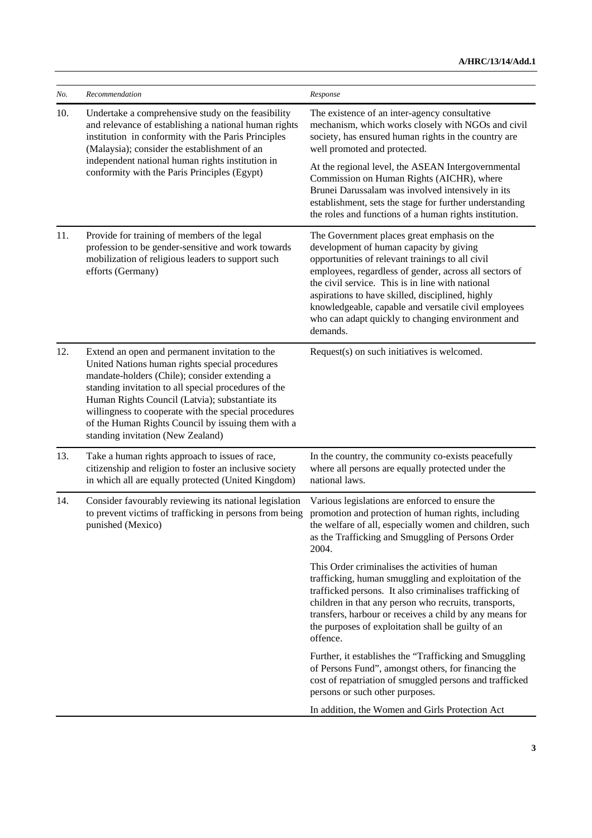| No. | Recommendation                                                                                                                                                                                                                                                                                                                                                                                                  | Response                                                                                                                                                                                                                                                                                                                                                                                                                              |
|-----|-----------------------------------------------------------------------------------------------------------------------------------------------------------------------------------------------------------------------------------------------------------------------------------------------------------------------------------------------------------------------------------------------------------------|---------------------------------------------------------------------------------------------------------------------------------------------------------------------------------------------------------------------------------------------------------------------------------------------------------------------------------------------------------------------------------------------------------------------------------------|
| 10. | Undertake a comprehensive study on the feasibility<br>and relevance of establishing a national human rights<br>institution in conformity with the Paris Principles<br>(Malaysia); consider the establishment of an<br>independent national human rights institution in<br>conformity with the Paris Principles (Egypt)                                                                                          | The existence of an inter-agency consultative<br>mechanism, which works closely with NGOs and civil<br>society, has ensured human rights in the country are<br>well promoted and protected.                                                                                                                                                                                                                                           |
|     |                                                                                                                                                                                                                                                                                                                                                                                                                 | At the regional level, the ASEAN Intergovernmental<br>Commission on Human Rights (AICHR), where<br>Brunei Darussalam was involved intensively in its<br>establishment, sets the stage for further understanding<br>the roles and functions of a human rights institution.                                                                                                                                                             |
| 11. | Provide for training of members of the legal<br>profession to be gender-sensitive and work towards<br>mobilization of religious leaders to support such<br>efforts (Germany)                                                                                                                                                                                                                                    | The Government places great emphasis on the<br>development of human capacity by giving<br>opportunities of relevant trainings to all civil<br>employees, regardless of gender, across all sectors of<br>the civil service. This is in line with national<br>aspirations to have skilled, disciplined, highly<br>knowledgeable, capable and versatile civil employees<br>who can adapt quickly to changing environment and<br>demands. |
| 12. | Extend an open and permanent invitation to the<br>United Nations human rights special procedures<br>mandate-holders (Chile); consider extending a<br>standing invitation to all special procedures of the<br>Human Rights Council (Latvia); substantiate its<br>willingness to cooperate with the special procedures<br>of the Human Rights Council by issuing them with a<br>standing invitation (New Zealand) | Request(s) on such initiatives is welcomed.                                                                                                                                                                                                                                                                                                                                                                                           |
| 13. | Take a human rights approach to issues of race,<br>citizenship and religion to foster an inclusive society<br>in which all are equally protected (United Kingdom)                                                                                                                                                                                                                                               | In the country, the community co-exists peacefully<br>where all persons are equally protected under the<br>national laws.                                                                                                                                                                                                                                                                                                             |
| 14. | Consider favourably reviewing its national legislation<br>to prevent victims of trafficking in persons from being<br>punished (Mexico)                                                                                                                                                                                                                                                                          | Various legislations are enforced to ensure the<br>promotion and protection of human rights, including<br>the welfare of all, especially women and children, such<br>as the Trafficking and Smuggling of Persons Order<br>2004.                                                                                                                                                                                                       |
|     |                                                                                                                                                                                                                                                                                                                                                                                                                 | This Order criminalises the activities of human<br>trafficking, human smuggling and exploitation of the<br>trafficked persons. It also criminalises trafficking of<br>children in that any person who recruits, transports,<br>transfers, harbour or receives a child by any means for<br>the purposes of exploitation shall be guilty of an<br>offence.                                                                              |
|     |                                                                                                                                                                                                                                                                                                                                                                                                                 | Further, it establishes the "Trafficking and Smuggling<br>of Persons Fund", amongst others, for financing the<br>cost of repatriation of smuggled persons and trafficked<br>persons or such other purposes.                                                                                                                                                                                                                           |
|     |                                                                                                                                                                                                                                                                                                                                                                                                                 | In addition, the Women and Girls Protection Act                                                                                                                                                                                                                                                                                                                                                                                       |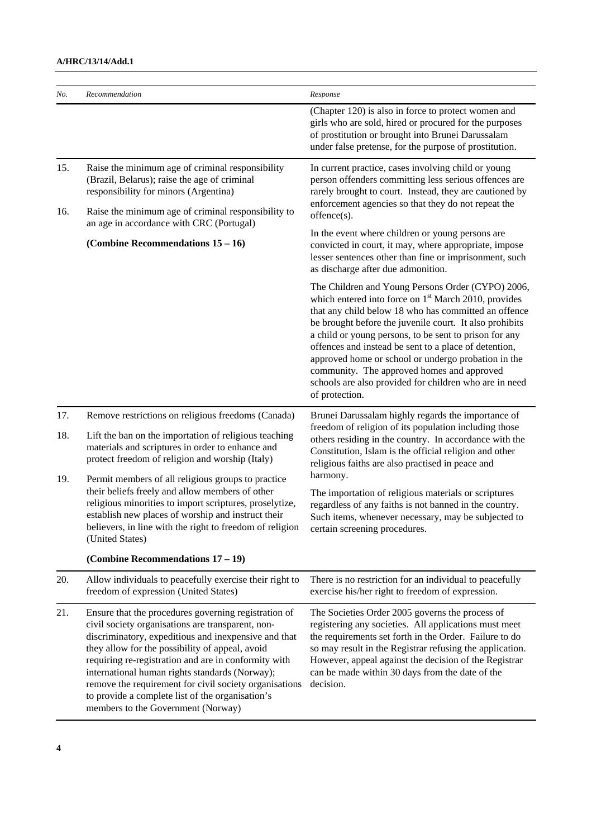## **A/HRC/13/14/Add.1**

| No.        | Recommendation                                                                                                                                                                                                                                                                                                                                                                                                                                                                     | Response                                                                                                                                                                                                                                                                                                                                                                                                                                                                                                                                     |
|------------|------------------------------------------------------------------------------------------------------------------------------------------------------------------------------------------------------------------------------------------------------------------------------------------------------------------------------------------------------------------------------------------------------------------------------------------------------------------------------------|----------------------------------------------------------------------------------------------------------------------------------------------------------------------------------------------------------------------------------------------------------------------------------------------------------------------------------------------------------------------------------------------------------------------------------------------------------------------------------------------------------------------------------------------|
|            |                                                                                                                                                                                                                                                                                                                                                                                                                                                                                    | (Chapter 120) is also in force to protect women and<br>girls who are sold, hired or procured for the purposes<br>of prostitution or brought into Brunei Darussalam<br>under false pretense, for the purpose of prostitution.                                                                                                                                                                                                                                                                                                                 |
| 15.<br>16. | Raise the minimum age of criminal responsibility<br>(Brazil, Belarus); raise the age of criminal<br>responsibility for minors (Argentina)<br>Raise the minimum age of criminal responsibility to                                                                                                                                                                                                                                                                                   | In current practice, cases involving child or young<br>person offenders committing less serious offences are<br>rarely brought to court. Instead, they are cautioned by<br>enforcement agencies so that they do not repeat the                                                                                                                                                                                                                                                                                                               |
|            | an age in accordance with CRC (Portugal)                                                                                                                                                                                                                                                                                                                                                                                                                                           | offence(s).                                                                                                                                                                                                                                                                                                                                                                                                                                                                                                                                  |
|            | (Combine Recommendations $15 - 16$ )                                                                                                                                                                                                                                                                                                                                                                                                                                               | In the event where children or young persons are<br>convicted in court, it may, where appropriate, impose<br>lesser sentences other than fine or imprisonment, such<br>as discharge after due admonition.                                                                                                                                                                                                                                                                                                                                    |
|            |                                                                                                                                                                                                                                                                                                                                                                                                                                                                                    | The Children and Young Persons Order (CYPO) 2006,<br>which entered into force on 1 <sup>st</sup> March 2010, provides<br>that any child below 18 who has committed an offence<br>be brought before the juvenile court. It also prohibits<br>a child or young persons, to be sent to prison for any<br>offences and instead be sent to a place of detention,<br>approved home or school or undergo probation in the<br>community. The approved homes and approved<br>schools are also provided for children who are in need<br>of protection. |
| 17.        | Remove restrictions on religious freedoms (Canada)                                                                                                                                                                                                                                                                                                                                                                                                                                 | Brunei Darussalam highly regards the importance of                                                                                                                                                                                                                                                                                                                                                                                                                                                                                           |
| 18.        | Lift the ban on the importation of religious teaching<br>materials and scriptures in order to enhance and<br>protect freedom of religion and worship (Italy)                                                                                                                                                                                                                                                                                                                       | freedom of religion of its population including those<br>others residing in the country. In accordance with the<br>Constitution, Islam is the official religion and other<br>religious faiths are also practised in peace and                                                                                                                                                                                                                                                                                                                |
| 19.        | Permit members of all religious groups to practice<br>their beliefs freely and allow members of other<br>religious minorities to import scriptures, proselytize,<br>establish new places of worship and instruct their<br>believers, in line with the right to freedom of religion<br>(United States)                                                                                                                                                                              | harmony.<br>The importation of religious materials or scriptures<br>regardless of any faiths is not banned in the country.<br>Such items, whenever necessary, may be subjected to<br>certain screening procedures.                                                                                                                                                                                                                                                                                                                           |
|            | (Combine Recommendations $17-19$ )                                                                                                                                                                                                                                                                                                                                                                                                                                                 |                                                                                                                                                                                                                                                                                                                                                                                                                                                                                                                                              |
| 20.        | Allow individuals to peacefully exercise their right to<br>freedom of expression (United States)                                                                                                                                                                                                                                                                                                                                                                                   | There is no restriction for an individual to peacefully<br>exercise his/her right to freedom of expression.                                                                                                                                                                                                                                                                                                                                                                                                                                  |
| 21.        | Ensure that the procedures governing registration of<br>civil society organisations are transparent, non-<br>discriminatory, expeditious and inexpensive and that<br>they allow for the possibility of appeal, avoid<br>requiring re-registration and are in conformity with<br>international human rights standards (Norway);<br>remove the requirement for civil society organisations<br>to provide a complete list of the organisation's<br>members to the Government (Norway) | The Societies Order 2005 governs the process of<br>registering any societies. All applications must meet<br>the requirements set forth in the Order. Failure to do<br>so may result in the Registrar refusing the application.<br>However, appeal against the decision of the Registrar<br>can be made within 30 days from the date of the<br>decision.                                                                                                                                                                                      |